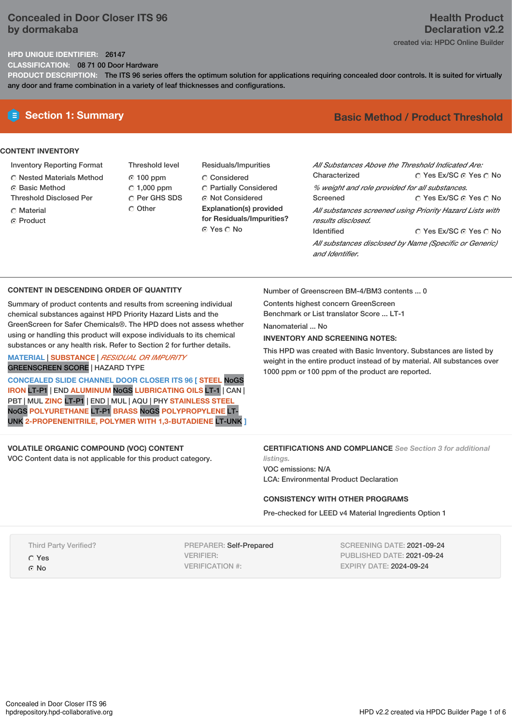## **Concealed in Door Closer ITS 96 by dormakaba**

# **Health Product Declaration v2.2**

created via: HPDC Online Builder

### **HPD UNIQUE IDENTIFIER:** 26147

**CLASSIFICATION:** 08 71 00 Door Hardware

**PRODUCT DESCRIPTION:** The ITS 96 series offers the optimum solution for applications requiring concealed door controls. It is suited for virtually any door and frame combination in a variety of leaf thicknesses and configurations.

### **CONTENT INVENTORY**

- Inventory Reporting Format
- Nested Materials Method
- **6** Basic Method
- Threshold Disclosed Per
- C Material
- **C** Product
- Threshold level 100 ppm  $C$  1,000 ppm C Per GHS SDS Other
- Residuals/Impurities Considered Partially Considered ⊙ Not Considered **Explanation(s) provided for Residuals/Impurities?** ⊙ Yes O No

# **E** Section 1: Summary **Basic** Method / Product Threshold

| All Substances Above the Threshold Indicated Are:      |                                                          |  |  |  |
|--------------------------------------------------------|----------------------------------------------------------|--|--|--|
| Characterized                                          | ∩ Yes Ex/SC ∩ Yes ∩ No                                   |  |  |  |
| % weight and role provided for all substances.         |                                                          |  |  |  |
| Screened                                               | ∩ Yes Ex/SC ∩ Yes ∩ No                                   |  |  |  |
|                                                        | All substances screened using Priority Hazard Lists with |  |  |  |
| results disclosed.                                     |                                                          |  |  |  |
| <b>Identified</b>                                      | ∩ Yes Ex/SC ∩ Yes ∩ No                                   |  |  |  |
| All substances disclosed by Name (Specific or Generic) |                                                          |  |  |  |
| and Identifier                                         |                                                          |  |  |  |

### **CONTENT IN DESCENDING ORDER OF QUANTITY**

Summary of product contents and results from screening individual chemical substances against HPD Priority Hazard Lists and the GreenScreen for Safer Chemicals®. The HPD does not assess whether using or handling this product will expose individuals to its chemical substances or any health risk. Refer to Section 2 for further details.

### **MATERIAL** | **SUBSTANCE** | *RESIDUAL OR IMPURITY* GREENSCREEN SCORE | HAZARD TYPE

**CONCEALED SLIDE CHANNEL DOOR CLOSER ITS 96 [ STEEL** NoGS **IRON** LT-P1 | END **ALUMINUM** NoGS **LUBRICATING OILS** LT-1 | CAN | PBT | MUL **ZINC** LT-P1 | END | MUL | AQU | PHY **STAINLESS STEEL** NoGS **POLYURETHANE** LT-P1 **BRASS** NoGS **POLYPROPYLENE** LT-UNK **2-PROPENENITRILE, POLYMER WITH 1,3-BUTADIENE** LT-UNK **]** Number of Greenscreen BM-4/BM3 contents ... 0

Contents highest concern GreenScreen Benchmark or List translator Score ... LT-1

Nanomaterial ... No

### **INVENTORY AND SCREENING NOTES:**

This HPD was created with Basic Inventory. Substances are listed by weight in the entire product instead of by material. All substances over 1000 ppm or 100 ppm of the product are reported.

# **VOLATILE ORGANIC COMPOUND (VOC) CONTENT**

VOC Content data is not applicable for this product category.

**CERTIFICATIONS AND COMPLIANCE** *See Section 3 for additional*

*listings.* VOC emissions: N/A LCA: Environmental Product Declaration

### **CONSISTENCY WITH OTHER PROGRAMS**

Pre-checked for LEED v4 Material Ingredients Option 1

Third Party Verified?

Yes

⊙ No

PREPARER: Self-Prepared VERIFIER: VERIFICATION #:

SCREENING DATE: 2021-09-24 PUBLISHED DATE: 2021-09-24 EXPIRY DATE: 2024-09-24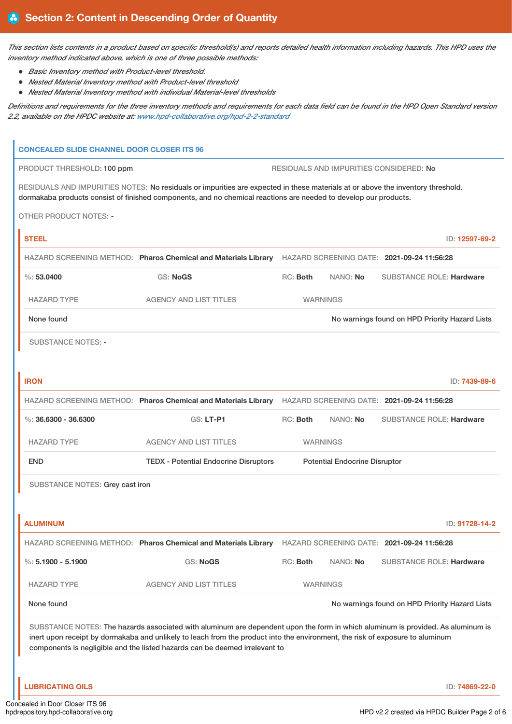This section lists contents in a product based on specific threshold(s) and reports detailed health information including hazards. This HPD uses the *inventory method indicated above, which is one of three possible methods:*

- *Basic Inventory method with Product-level threshold.*
- *Nested Material Inventory method with Product-level threshold*
- *Nested Material Inventory method with individual Material-level thresholds*

Definitions and requirements for the three inventory methods and requirements for each data field can be found in the HPD Open Standard version *2.2, available on the HPDC website at: [www.hpd-collaborative.org/hpd-2-2-standard](https://www.hpd-collaborative.org/hpd-2-2-standard)*

# **CONCEALED SLIDE CHANNEL DOOR CLOSER ITS 96** PRODUCT THRESHOLD: 100 ppm **RESIDUALS AND IMPURITIES CONSIDERED:** No RESIDUALS AND IMPURITIES NOTES: No residuals or impurities are expected in these materials at or above the inventory threshold. dormakaba products consist of finished components, and no chemical reactions are needed to develop our products. OTHER PRODUCT NOTES: - **STEEL** ID: **12597-69-2** HAZARD SCREENING METHOD: **Pharos Chemical and Materials Library** HAZARD SCREENING DATE: **2021-09-24 11:56:28** %: **53.0400** GS: **NoGS** RC: **Both** NANO: **No** SUBSTANCE ROLE: **Hardware** HAZARD TYPE AGENCY AND LIST TITLES WARNINGS None found Now arrings found on HPD Priority Hazard Lists SUBSTANCE NOTES: - **IRON** ID: **7439-89-6** HAZARD SCREENING METHOD: **Pharos Chemical and Materials Library** HAZARD SCREENING DATE: **2021-09-24 11:56:28** %: **36.6300 - 36.6300** GS: **LT-P1** RC: **Both** NANO: **No** SUBSTANCE ROLE: **Hardware** HAZARD TYPE AGENCY AND LIST TITLES WARNINGS END TEDX - Potential Endocrine Disruptors Potential Endocrine Disruptor SUBSTANCE NOTES: Grey cast iron **ALUMINUM** ID: **91728-14-2** HAZARD SCREENING METHOD: **Pharos Chemical and Materials Library** HAZARD SCREENING DATE: **2021-09-24 11:56:28** %: **5.1900 - 5.1900** GS: **NoGS** RC: **Both** NANO: **No** SUBSTANCE ROLE: **Hardware** HAZARD TYPE AGENCY AND LIST TITLES WARNINGS None found Now the Termings found on HPD Priority Hazard Lists SUBSTANCE NOTES: The hazards associated with aluminum are dependent upon the form in which aluminum is provided. As aluminum is inert upon receipt by dormakaba and unlikely to leach from the product into the environment, the risk of exposure to aluminum components is negligible and the listed hazards can be deemed irrelevant to

**LUBRICATING OILS** ID: **74869-22-0**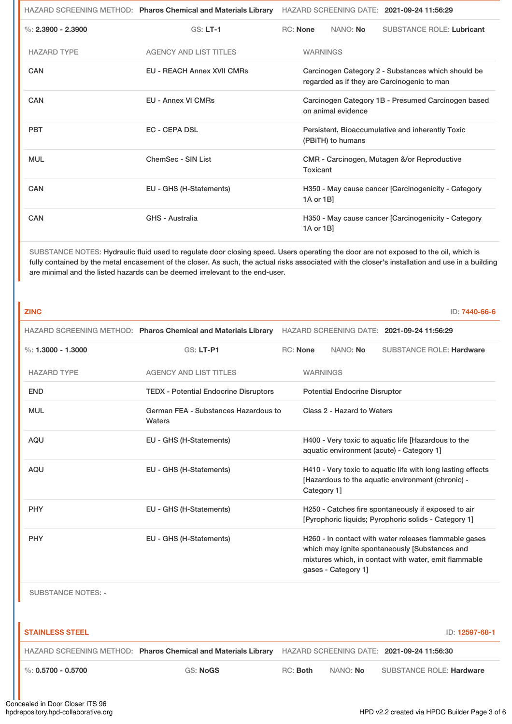|                      | HAZARD SCREENING METHOD: Pharos Chemical and Materials Library | HAZARD SCREENING DATE: 2021-09-24 11:56:29                                                        |                 |                   |                                                     |
|----------------------|----------------------------------------------------------------|---------------------------------------------------------------------------------------------------|-----------------|-------------------|-----------------------------------------------------|
| %: $2.3900 - 2.3900$ | $GS: LT-1$                                                     | RC: None                                                                                          |                 | NANO: No          | <b>SUBSTANCE ROLE: Lubricant</b>                    |
| <b>HAZARD TYPE</b>   | <b>AGENCY AND LIST TITLES</b>                                  |                                                                                                   | <b>WARNINGS</b> |                   |                                                     |
| CAN                  | <b>EU - REACH Annex XVII CMRs</b>                              | Carcinogen Category 2 - Substances which should be<br>regarded as if they are Carcinogenic to man |                 |                   |                                                     |
| CAN                  | <b>EU - Annex VI CMRs</b>                                      | Carcinogen Category 1B - Presumed Carcinogen based<br>on animal evidence                          |                 |                   |                                                     |
| <b>PBT</b>           | <b>EC - CEPA DSL</b>                                           |                                                                                                   |                 | (PBITH) to humans | Persistent, Bioaccumulative and inherently Toxic    |
| <b>MUL</b>           | ChemSec - SIN List                                             |                                                                                                   | Toxicant        |                   | CMR - Carcinogen, Mutagen &/or Reproductive         |
| CAN                  | EU - GHS (H-Statements)                                        |                                                                                                   | 1A or 1B]       |                   | H350 - May cause cancer [Carcinogenicity - Category |
| CAN                  | GHS - Australia                                                |                                                                                                   | 1A or 1B]       |                   | H350 - May cause cancer [Carcinogenicity - Category |

SUBSTANCE NOTES: Hydraulic fluid used to regulate door closing speed. Users operating the door are not exposed to the oil, which is fully contained by the metal encasement of the closer. As such, the actual risks associated with the closer's installation and use in a building are minimal and the listed hazards can be deemed irrelevant to the end-user.

| <b>ZINC</b>               |                                                                |                                            |                 |                                                                                                                                                                                         |                                                                                                                  | ID: 7440-66-6 |
|---------------------------|----------------------------------------------------------------|--------------------------------------------|-----------------|-----------------------------------------------------------------------------------------------------------------------------------------------------------------------------------------|------------------------------------------------------------------------------------------------------------------|---------------|
|                           | HAZARD SCREENING METHOD: Pharos Chemical and Materials Library | HAZARD SCREENING DATE: 2021-09-24 11:56:29 |                 |                                                                                                                                                                                         |                                                                                                                  |               |
| $\%: 1.3000 - 1.3000$     | <b>GS: LT-P1</b>                                               |                                            | <b>RC: None</b> | NANO: No                                                                                                                                                                                | <b>SUBSTANCE ROLE: Hardware</b>                                                                                  |               |
| <b>HAZARD TYPE</b>        | <b>AGENCY AND LIST TITLES</b>                                  |                                            | <b>WARNINGS</b> |                                                                                                                                                                                         |                                                                                                                  |               |
| <b>END</b>                | <b>TEDX - Potential Endocrine Disruptors</b>                   | <b>Potential Endocrine Disruptor</b>       |                 |                                                                                                                                                                                         |                                                                                                                  |               |
| <b>MUL</b>                | German FEA - Substances Hazardous to<br>Waters                 |                                            |                 | Class 2 - Hazard to Waters                                                                                                                                                              |                                                                                                                  |               |
| <b>AQU</b>                | EU - GHS (H-Statements)                                        |                                            |                 |                                                                                                                                                                                         | H400 - Very toxic to aquatic life [Hazardous to the<br>aquatic environment (acute) - Category 1]                 |               |
| <b>AQU</b>                | EU - GHS (H-Statements)                                        |                                            | Category 1]     |                                                                                                                                                                                         | H410 - Very toxic to aquatic life with long lasting effects<br>[Hazardous to the aquatic environment (chronic) - |               |
| <b>PHY</b>                | EU - GHS (H-Statements)                                        |                                            |                 |                                                                                                                                                                                         | H250 - Catches fire spontaneously if exposed to air<br>[Pyrophoric liquids; Pyrophoric solids - Category 1]      |               |
| <b>PHY</b>                | EU - GHS (H-Statements)                                        |                                            |                 | H260 - In contact with water releases flammable gases<br>which may ignite spontaneously [Substances and<br>mixtures which, in contact with water, emit flammable<br>gases - Category 1] |                                                                                                                  |               |
| <b>SUBSTANCE NOTES: -</b> |                                                                |                                            |                 |                                                                                                                                                                                         |                                                                                                                  |               |

| <b>STAINLESS STEEL</b> |                                                                |          |                 | ID: 12597-68-1                             |
|------------------------|----------------------------------------------------------------|----------|-----------------|--------------------------------------------|
|                        | HAZARD SCREENING METHOD: Pharos Chemical and Materials Library |          |                 | HAZARD SCREENING DATE: 2021-09-24 11:56:30 |
| $\%$ : 0.5700 - 0.5700 | <b>GS: NoGS</b>                                                | RC: Both | NANO: <b>No</b> | <b>SUBSTANCE ROLE: Hardware</b>            |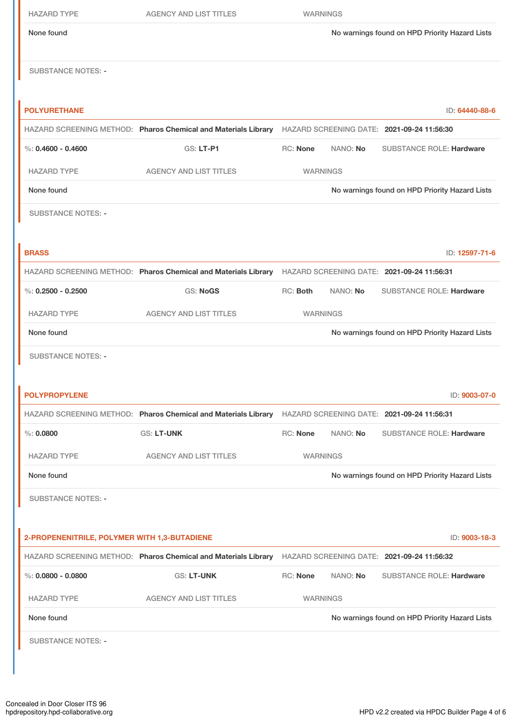| <b>HAZARD TYPE</b>                           | <b>AGENCY AND LIST TITLES</b>                                                                             | <b>WARNINGS</b> |          |                                                |                |
|----------------------------------------------|-----------------------------------------------------------------------------------------------------------|-----------------|----------|------------------------------------------------|----------------|
| None found                                   |                                                                                                           |                 |          | No warnings found on HPD Priority Hazard Lists |                |
| <b>SUBSTANCE NOTES: -</b>                    |                                                                                                           |                 |          |                                                |                |
| <b>POLYURETHANE</b>                          |                                                                                                           |                 |          |                                                | ID: 64440-88-6 |
|                                              | HAZARD SCREENING METHOD: Pharos Chemical and Materials Library HAZARD SCREENING DATE: 2021-09-24 11:56:30 |                 |          |                                                |                |
| %: $0.4600 - 0.4600$                         | <b>GS: LT-P1</b>                                                                                          | RC: None        | NANO: No | <b>SUBSTANCE ROLE: Hardware</b>                |                |
| <b>HAZARD TYPE</b>                           | <b>AGENCY AND LIST TITLES</b>                                                                             | <b>WARNINGS</b> |          |                                                |                |
| None found                                   |                                                                                                           |                 |          | No warnings found on HPD Priority Hazard Lists |                |
| <b>SUBSTANCE NOTES: -</b>                    |                                                                                                           |                 |          |                                                |                |
|                                              |                                                                                                           |                 |          |                                                |                |
| <b>BRASS</b>                                 |                                                                                                           |                 |          |                                                | ID: 12597-71-6 |
|                                              | HAZARD SCREENING METHOD: Pharos Chemical and Materials Library HAZARD SCREENING DATE: 2021-09-24 11:56:31 |                 |          |                                                |                |
| %: $0.2500 - 0.2500$                         | <b>GS: NoGS</b>                                                                                           | RC: Both        | NANO: No | <b>SUBSTANCE ROLE: Hardware</b>                |                |
| <b>HAZARD TYPE</b>                           | <b>AGENCY AND LIST TITLES</b>                                                                             | <b>WARNINGS</b> |          |                                                |                |
| None found                                   |                                                                                                           |                 |          | No warnings found on HPD Priority Hazard Lists |                |
| <b>SUBSTANCE NOTES: -</b>                    |                                                                                                           |                 |          |                                                |                |
| <b>POLYPROPYLENE</b>                         |                                                                                                           |                 |          |                                                | ID: 9003-07-0  |
|                                              | HAZARD SCREENING METHOD: Pharos Chemical and Materials Library HAZARD SCREENING DATE: 2021-09-24 11:56:31 |                 |          |                                                |                |
| $\%: 0.0800$                                 | <b>GS: LT-UNK</b>                                                                                         | RC: None        | NANO: No | <b>SUBSTANCE ROLE: Hardware</b>                |                |
| <b>HAZARD TYPE</b>                           | <b>AGENCY AND LIST TITLES</b>                                                                             | <b>WARNINGS</b> |          |                                                |                |
| None found                                   |                                                                                                           |                 |          | No warnings found on HPD Priority Hazard Lists |                |
| <b>SUBSTANCE NOTES: -</b>                    |                                                                                                           |                 |          |                                                |                |
| 2-PROPENENITRILE, POLYMER WITH 1,3-BUTADIENE |                                                                                                           |                 |          |                                                | ID: 9003-18-3  |
|                                              | HAZARD SCREENING METHOD: Pharos Chemical and Materials Library HAZARD SCREENING DATE: 2021-09-24 11:56:32 |                 |          |                                                |                |
| %: $0.0800 - 0.0800$                         | <b>GS: LT-UNK</b>                                                                                         | <b>RC: None</b> | NANO: No | <b>SUBSTANCE ROLE: Hardware</b>                |                |
| <b>HAZARD TYPE</b>                           | <b>AGENCY AND LIST TITLES</b>                                                                             | <b>WARNINGS</b> |          |                                                |                |
| None found                                   |                                                                                                           |                 |          | No warnings found on HPD Priority Hazard Lists |                |
| <b>SUBSTANCE NOTES: -</b>                    |                                                                                                           |                 |          |                                                |                |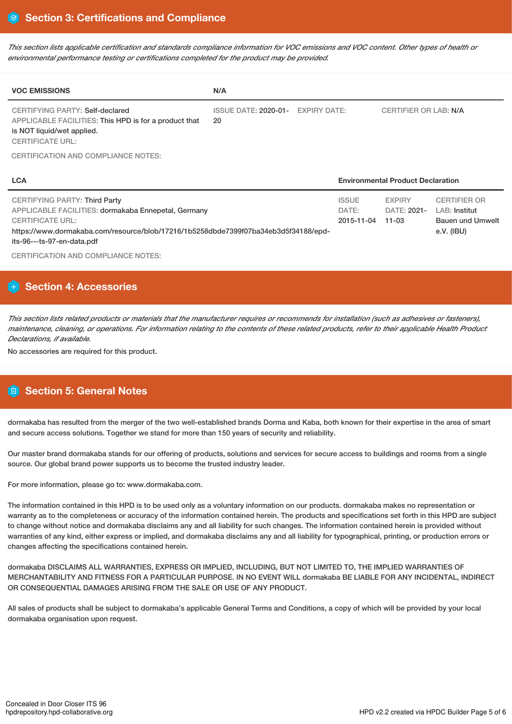This section lists applicable certification and standards compliance information for VOC emissions and VOC content. Other types of health or *environmental performance testing or certifications completed for the product may be provided.*

| <b>VOC EMISSIONS</b>                                                                                                                              | N/A                                     |                       |
|---------------------------------------------------------------------------------------------------------------------------------------------------|-----------------------------------------|-----------------------|
| CERTIFYING PARTY: Self-declared<br>APPLICABLE FACILITIES: This HPD is for a product that<br>is NOT liquid/wet applied.<br><b>CERTIFICATE URL:</b> | ISSUE DATE: 2020-01- EXPIRY DATE:<br>20 | CERTIFIER OR LAB: N/A |
| CERTIFICATION AND COMPLIANCE NOTES:                                                                                                               |                                         |                       |

| <b>LCA</b>                                                                          |              | <b>Environmental Product Declaration</b> |                     |  |  |
|-------------------------------------------------------------------------------------|--------------|------------------------------------------|---------------------|--|--|
| <b>CERTIFYING PARTY: Third Party</b>                                                | <b>ISSUE</b> | <b>EXPIRY</b>                            | <b>CERTIFIER OR</b> |  |  |
| APPLICABLE FACILITIES: dormakaba Ennepetal, Germany                                 | DATE:        | DATE: 2021-                              | LAB: Institut       |  |  |
| <b>CERTIFICATE URL:</b>                                                             | 2015-11-04   | $11 - 03$                                | Bauen und Umwelt    |  |  |
| https://www.dormakaba.com/resource/blob/17216/1b5258dbde7399f07ba34eb3d5f34188/epd- |              |                                          | e.V. (IBU)          |  |  |
| its-96---ts-97-en-data.pdf                                                          |              |                                          |                     |  |  |

CERTIFICATION AND COMPLIANCE NOTES:

# **Section 4: Accessories**

This section lists related products or materials that the manufacturer requires or recommends for installation (such as adhesives or fasteners), maintenance, cleaning, or operations. For information relating to the contents of these related products, refer to their applicable Health Product *Declarations, if available.*

No accessories are required for this product.

# **Section 5: General Notes**

dormakaba has resulted from the merger of the two well-established brands Dorma and Kaba, both known for their expertise in the area of smart and secure access solutions. Together we stand for more than 150 years of security and reliability.

Our master brand dormakaba stands for our offering of products, solutions and services for secure access to buildings and rooms from a single source. Our global brand power supports us to become the trusted industry leader.

For more information, please go to: www.dormakaba.com.

The information contained in this HPD is to be used only as a voluntary information on our products. dormakaba makes no representation or warranty as to the completeness or accuracy of the information contained herein. The products and specifications set forth in this HPD are subject to change without notice and dormakaba disclaims any and all liability for such changes. The information contained herein is provided without warranties of any kind, either express or implied, and dormakaba disclaims any and all liability for typographical, printing, or production errors or changes affecting the specifications contained herein.

dormakaba DISCLAIMS ALL WARRANTIES, EXPRESS OR IMPLIED, INCLUDING, BUT NOT LIMITED TO, THE IMPLIED WARRANTIES OF MERCHANTABILITY AND FITNESS FOR A PARTICULAR PURPOSE. IN NO EVENT WILL dormakaba BE LIABLE FOR ANY INCIDENTAL, INDIRECT OR CONSEQUENTIAL DAMAGES ARISING FROM THE SALE OR USE OF ANY PRODUCT.

All sales of products shall be subject to dormakaba's applicable General Terms and Conditions, a copy of which will be provided by your local dormakaba organisation upon request.